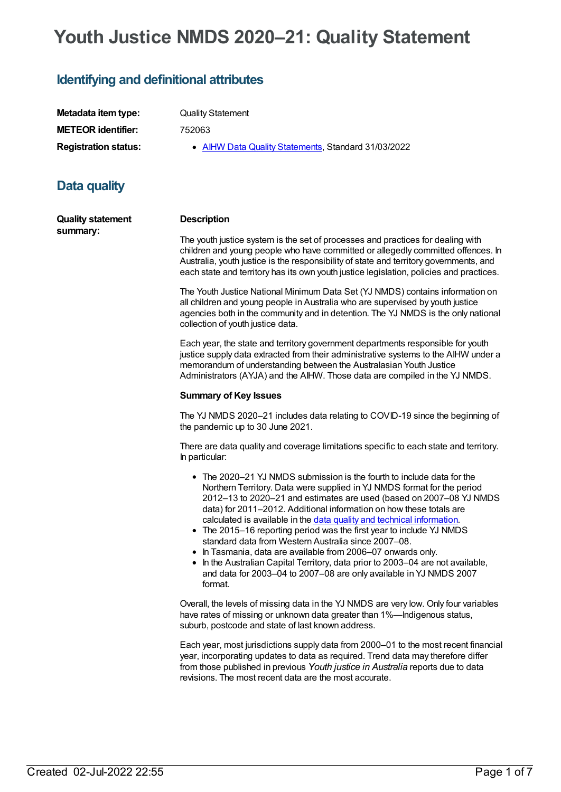# **Youth Justice NMDS 2020–21: Quality Statement**

## **Identifying and definitional attributes**

| Metadata item type:         | <b>Quality Statement</b>                            |
|-----------------------------|-----------------------------------------------------|
| <b>METEOR identifier:</b>   | 752063                                              |
| <b>Registration status:</b> | • AIHW Data Quality Statements, Standard 31/03/2022 |

## **Data quality**

**Quality statement summary:**

#### **Description**

The youth justice system is the set of processes and practices for dealing with children and young people who have committed or allegedly committed offences. In Australia, youth justice is the responsibility of state and territory governments, and each state and territory has its own youth justice legislation, policies and practices.

The Youth Justice National Minimum Data Set (YJ NMDS) contains information on all children and young people in Australia who are supervised by youth justice agencies both in the community and in detention. The YJ NMDS is the only national collection of youth justice data.

Each year, the state and territory government departments responsible for youth justice supply data extracted from their administrative systems to the AIHW under a memorandum of understanding between the Australasian Youth Justice Administrators (AYJA) and the AIHW. Those data are compiled in the YJ NMDS.

#### **Summary of Key Issues**

The YJ NMDS 2020–21 includes data relating to COVID-19 since the beginning of the pandemic up to 30 June 2021.

There are data quality and coverage limitations specific to each state and territory. In particular:

- The 2020–21 YJ NMDS submission is the fourth to include data for the Northern Territory. Data were supplied in YJ NMDS format for the period 2012–13 to 2020–21 and estimates are used (based on 2007–08 YJ NMDS data) for 2011–2012. Additional information on how these totals are calculated is available in the data quality and technical [information](https://www.aihw.gov.au/reports/youth-justice/youth-justice-in-australia-2020-21/contents/appendixes).
- The 2015–16 reporting period was the first year to include YJ NMDS standard data from Western Australia since 2007–08.
- In Tasmania, data are available from 2006–07 onwards only. • In the Australian Capital Territory, data prior to 2003–04 are not available, and data for 2003–04 to 2007–08 are only available in YJ NMDS 2007 format.

Overall, the levels of missing data in the YJ NMDS are very low. Only four variables have rates of missing or unknown data greater than 1%—Indigenous status, suburb, postcode and state of last known address.

Each year, most jurisdictions supply data from 2000–01 to the most recent financial year, incorporating updates to data as required. Trend data may therefore differ from those published in previous *Youth justice in Australia* reports due to data revisions. The most recent data are the most accurate.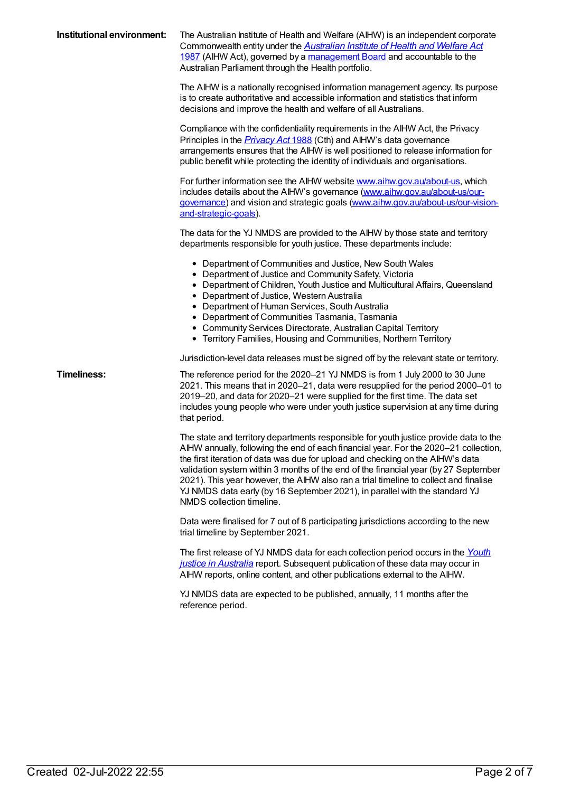| Institutional environment: | The Australian Institute of Health and Welfare (AIHW) is an independent corporate<br>Commonwealth entity under the <b>Australian Institute of Health and Welfare Act</b><br>1987 (AIHW Act), governed by a management Board and accountable to the<br>Australian Parliament through the Health portfolio.                                                                                                                                                                                                                                                  |
|----------------------------|------------------------------------------------------------------------------------------------------------------------------------------------------------------------------------------------------------------------------------------------------------------------------------------------------------------------------------------------------------------------------------------------------------------------------------------------------------------------------------------------------------------------------------------------------------|
|                            | The AIHW is a nationally recognised information management agency. Its purpose<br>is to create authoritative and accessible information and statistics that inform<br>decisions and improve the health and welfare of all Australians.                                                                                                                                                                                                                                                                                                                     |
|                            | Compliance with the confidentiality requirements in the AIHW Act, the Privacy<br>Principles in the <i>Privacy Act</i> 1988 (Cth) and AIHW's data governance<br>arrangements ensures that the AIHW is well positioned to release information for<br>public benefit while protecting the identity of individuals and organisations.                                                                                                                                                                                                                          |
|                            | For further information see the AIHW website www.aihw.gov.au/about-us, which<br>includes details about the AIHW's governance (www.aihw.gov.au/about-us/our-<br>governance) and vision and strategic goals (www.aihw.gov.au/about-us/our-vision-<br>and-strategic-goals).                                                                                                                                                                                                                                                                                   |
|                            | The data for the YJ NMDS are provided to the AIHW by those state and territory<br>departments responsible for youth justice. These departments include:                                                                                                                                                                                                                                                                                                                                                                                                    |
|                            | • Department of Communities and Justice, New South Wales<br>• Department of Justice and Community Safety, Victoria<br>• Department of Children, Youth Justice and Multicultural Affairs, Queensland<br>• Department of Justice, Western Australia<br>• Department of Human Services, South Australia<br>• Department of Communities Tasmania, Tasmania<br>• Community Services Directorate, Australian Capital Territory<br>• Territory Families, Housing and Communities, Northern Territory                                                              |
|                            | Jurisdiction-level data releases must be signed off by the relevant state or territory.                                                                                                                                                                                                                                                                                                                                                                                                                                                                    |
| <b>Timeliness:</b>         | The reference period for the 2020-21 YJ NMDS is from 1 July 2000 to 30 June<br>2021. This means that in 2020-21, data were resupplied for the period 2000-01 to<br>2019–20, and data for 2020–21 were supplied for the first time. The data set<br>includes young people who were under youth justice supervision at any time during<br>that period.                                                                                                                                                                                                       |
|                            | The state and territory departments responsible for youth justice provide data to the<br>AIHW annually, following the end of each financial year. For the 2020-21 collection,<br>the first iteration of data was due for upload and checking on the AIHW's data<br>validation system within 3 months of the end of the financial year (by 27 September<br>2021). This year however, the AIHW also ran a trial timeline to collect and finalise<br>YJ NMDS data early (by 16 September 2021), in parallel with the standard YJ<br>NMDS collection timeline. |
|                            | Data were finalised for 7 out of 8 participating jurisdictions according to the new<br>trial timeline by September 2021.                                                                                                                                                                                                                                                                                                                                                                                                                                   |
|                            | The first release of YJ NMDS data for each collection period occurs in the Youth<br>justice in Australia report. Subsequent publication of these data may occur in<br>AIHW reports, online content, and other publications external to the AIHW.                                                                                                                                                                                                                                                                                                           |
|                            | YJ NMDS data are expected to be published, annually, 11 months after the<br>reference period.                                                                                                                                                                                                                                                                                                                                                                                                                                                              |
|                            |                                                                                                                                                                                                                                                                                                                                                                                                                                                                                                                                                            |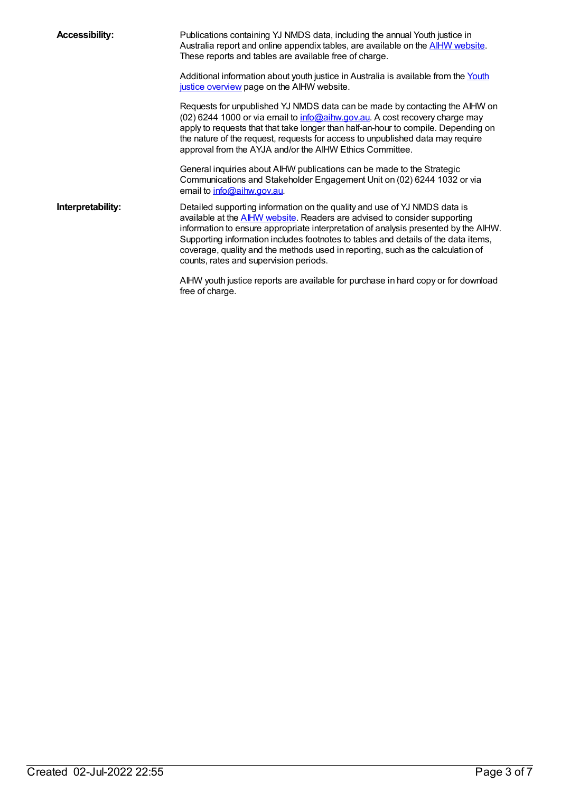| <b>Accessibility:</b> | Publications containing YJ NMDS data, including the annual Youth justice in<br>Australia report and online appendix tables, are available on the <b>AIHW</b> website.<br>These reports and tables are available free of charge.                                                                                                                                                                                                                                          |
|-----------------------|--------------------------------------------------------------------------------------------------------------------------------------------------------------------------------------------------------------------------------------------------------------------------------------------------------------------------------------------------------------------------------------------------------------------------------------------------------------------------|
|                       | Additional information about youth justice in Australia is available from the Youth<br>justice overview page on the AIHW website.                                                                                                                                                                                                                                                                                                                                        |
|                       | Requests for unpublished YJ NMDS data can be made by contacting the AIHW on<br>(02) 6244 1000 or via email to info@aihw.gov.au. A cost recovery charge may<br>apply to requests that that take longer than half-an-hour to compile. Depending on<br>the nature of the request, requests for access to unpublished data may require<br>approval from the AYJA and/or the AIHW Ethics Committee.                                                                           |
|                       | General inquiries about AIHW publications can be made to the Strategic<br>Communications and Stakeholder Engagement Unit on (02) 6244 1032 or via<br>email to info@aihw.gov.au.                                                                                                                                                                                                                                                                                          |
| Interpretability:     | Detailed supporting information on the quality and use of YJ NMDS data is<br>available at the <b>AIHW website</b> . Readers are advised to consider supporting<br>information to ensure appropriate interpretation of analysis presented by the AIHW.<br>Supporting information includes footnotes to tables and details of the data items,<br>coverage, quality and the methods used in reporting, such as the calculation of<br>counts, rates and supervision periods. |
|                       | AIHW youth justice reports are available for purchase in hard copy or for download<br>free of charge.                                                                                                                                                                                                                                                                                                                                                                    |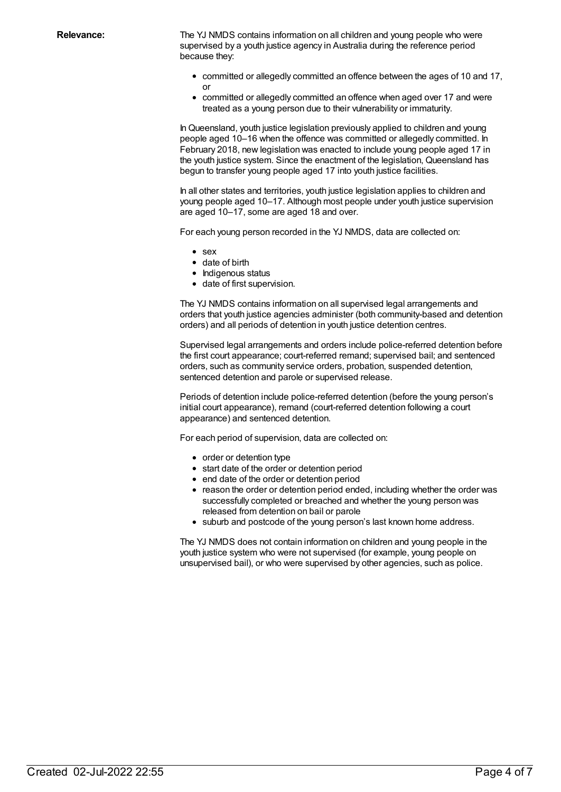Relevance: The YJ NMDS contains information on all children and young people who were supervised by a youth justice agency in Australia during the reference period because they:

- committed or allegedly committed an offence between the ages of 10 and 17, or
- committed or allegedly committed an offence when aged over 17 and were treated as a young person due to their vulnerability or immaturity.

InQueensland, youth justice legislation previously applied to children and young people aged 10–16 when the offence was committed or allegedly committed. In February 2018, new legislation was enacted to include young people aged 17 in the youth justice system. Since the enactment of the legislation, Queensland has begun to transfer young people aged 17 into youth justice facilities.

In all other states and territories, youth justice legislation applies to children and young people aged 10–17. Although most people under youth justice supervision are aged 10–17, some are aged 18 and over.

For each young person recorded in the YJ NMDS, data are collected on:

- $\bullet$  sex
- date of birth
- Indigenous status
- date of first supervision.

The YJ NMDS contains information on all supervised legal arrangements and orders that youth justice agencies administer (both community-based and detention orders) and all periods of detention in youth justice detention centres.

Supervised legal arrangements and orders include police-referred detention before the first court appearance; court-referred remand; supervised bail; and sentenced orders, such as community service orders, probation, suspended detention, sentenced detention and parole or supervised release.

Periods of detention include police-referred detention (before the young person's initial court appearance), remand (court-referred detention following a court appearance) and sentenced detention.

For each period of supervision, data are collected on:

- order or detention type
- start date of the order or detention period
- end date of the order or detention period
- reason the order or detention period ended, including whether the order was successfully completed or breached and whether the young person was released from detention on bail or parole
- suburb and postcode of the young person's last known home address.

The YJ NMDS does not contain information on children and young people in the youth justice system who were not supervised (for example, young people on unsupervised bail), or who were supervised by other agencies, such as police.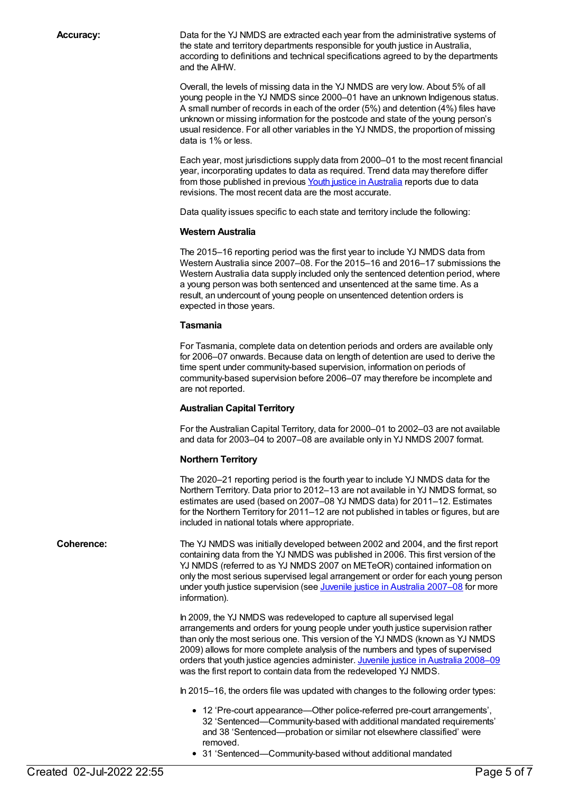Accuracy: Data for the YJ NMDS are extracted each year from the administrative systems of the state and territory departments responsible for youth justice in Australia, according to definitions and technical specifications agreed to by the departments and the AIHW.

> Overall, the levels of missing data in the YJ NMDS are very low. About 5% of all young people in the YJ NMDS since 2000–01 have an unknown Indigenous status. A small number of records in each of the order (5%) and detention (4%) files have unknown or missing information for the postcode and state of the young person's usual residence. For all other variables in the YJ NMDS, the proportion of missing data is 1% or less.

Each year, most jurisdictions supply data from 2000–01 to the most recent financial year, incorporating updates to data as required. Trend data may therefore differ from those published in previous Youth justice in [Australia](https://auth.aihw.gov.au/reports/youth-justice/youth-justice-in-australia-2020-21/contents/summary) reports due to data revisions. The most recent data are the most accurate.

Data quality issues specific to each state and territory include the following:

#### **Western Australia**

The 2015–16 reporting period was the first year to include YJ NMDS data from Western Australia since 2007–08. For the 2015–16 and 2016–17 submissions the Western Australia data supply included only the sentenced detention period, where a young person was both sentenced and unsentenced at the same time. As a result, an undercount of young people on unsentenced detention orders is expected in those years.

#### **Tasmania**

For Tasmania, complete data on detention periods and orders are available only for 2006–07 onwards. Because data on length of detention are used to derive the time spent under community-based supervision, information on periods of community-based supervision before 2006–07 may therefore be incomplete and are not reported.

#### **Australian Capital Territory**

For the Australian Capital Territory, data for 2000–01 to 2002–03 are not available and data for 2003–04 to 2007–08 are available only in YJ NMDS 2007 format.

#### **Northern Territory**

The 2020–21 reporting period is the fourth year to include YJ NMDS data for the Northern Territory. Data prior to 2012–13 are not available in YJ NMDS format, so estimates are used (based on 2007–08 YJ NMDS data) for 2011–12. Estimates for the Northern Territory for 2011–12 are not published in tables or figures, but are included in national totals where appropriate.

**Coherence:** The YJ NMDS was initially developed between 2002 and 2004, and the first report containing data from the YJ NMDS was published in 2006. This first version of the YJ NMDS (referred to as YJ NMDS 2007 on METeOR) contained information on only the most serious supervised legal arrangement or order for each young person under youth justice supervision (see *Juvenile justice in Australia [2007–08](http://www.aihw.gov.au/publication-detail/?id=6442468301)* for more information).

> In 2009, the YJ NMDS was redeveloped to capture all supervised legal arrangements and orders for young people under youth justice supervision rather than only the most serious one. This version of the YJ NMDS (known as YJ NMDS 2009) allows for more complete analysis of the numbers and types of supervised orders that youth justice agencies administer. Juvenile justice in [Australia](http://www.aihw.gov.au/publication-detail/?id=10737418606) 2008–09 was the first report to contain data from the redeveloped YJ NMDS.

In 2015–16, the orders file was updated with changes to the following order types:

- 12 'Pre-court appearance—Other police-referred pre-court arrangements', 32 'Sentenced—Community-based with additional mandated requirements' and 38 'Sentenced—probation or similar not elsewhere classified' were removed.
- 31 'Sentenced—Community-based without additional mandated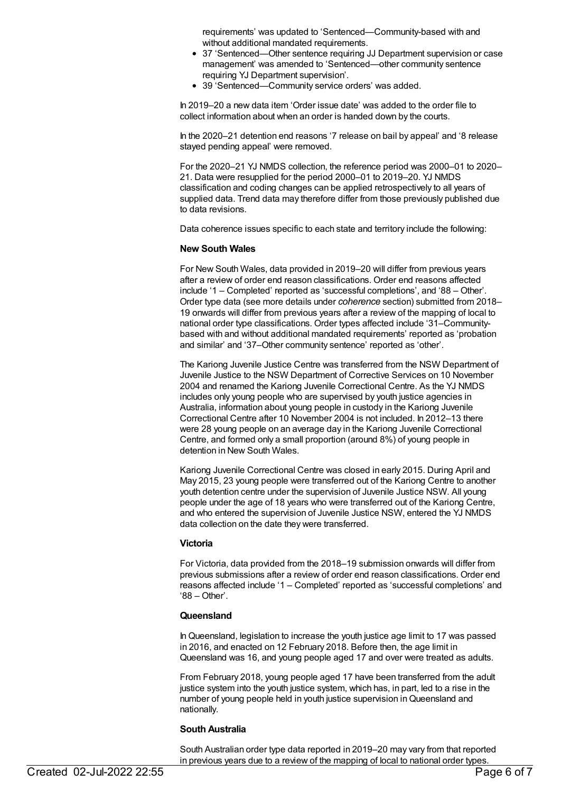requirements' was updated to 'Sentenced—Community-based with and without additional mandated requirements.

- 37 'Sentenced—Other sentence requiring JJ Department supervision or case management' was amended to 'Sentenced—other community sentence requiring YJ Department supervision'.
- 39 'Sentenced—Community service orders' was added.

In 2019–20 a new data item 'Order issue date' was added to the order file to collect information about when an order is handed down by the courts.

In the 2020–21 detention end reasons '7 release on bail by appeal' and '8 release stayed pending appeal' were removed.

For the 2020–21 YJ NMDS collection, the reference period was 2000–01 to 2020– 21. Data were resupplied for the period 2000–01 to 2019–20. YJ NMDS classification and coding changes can be applied retrospectively to all years of supplied data. Trend data may therefore differ from those previously published due to data revisions.

Data coherence issues specific to each state and territory include the following:

#### **New South Wales**

For New South Wales, data provided in 2019–20 will differ from previous years after a review of order end reason classifications. Order end reasons affected include '1 – Completed' reported as 'successful completions', and '88 – Other'. Order type data (see more details under *coherence* section) submitted from 2018– 19 onwards will differ from previous years after a review of the mapping of local to national order type classifications. Order types affected include '31–Communitybased with and without additional mandated requirements' reported as 'probation and similar' and '37–Other community sentence' reported as 'other'.

The Kariong Juvenile Justice Centre was transferred from the NSW Department of Juvenile Justice to the NSW Department of Corrective Services on 10 November 2004 and renamed the Kariong Juvenile Correctional Centre. As the YJ NMDS includes only young people who are supervised by youth justice agencies in Australia, information about young people in custody in the Kariong Juvenile Correctional Centre after 10 November 2004 is not included. In 2012–13 there were 28 young people on an average day in the Kariong Juvenile Correctional Centre, and formed only a small proportion (around 8%) of young people in detention in New South Wales.

Kariong Juvenile Correctional Centre was closed in early 2015. During April and May 2015, 23 young people were transferred out of the Kariong Centre to another youth detention centre under the supervision of Juvenile Justice NSW. All young people under the age of 18 years who were transferred out of the Kariong Centre, and who entered the supervision of Juvenile Justice NSW, entered the YJ NMDS data collection on the date they were transferred.

#### **Victoria**

For Victoria, data provided from the 2018–19 submission onwards will differ from previous submissions after a review of order end reason classifications. Order end reasons affected include '1 – Completed' reported as 'successful completions' and '88 – Other'.

#### **Queensland**

InQueensland, legislation to increase the youth justice age limit to 17 was passed in 2016, and enacted on 12 February 2018. Before then, the age limit in Queensland was 16, and young people aged 17 and over were treated as adults.

From February 2018, young people aged 17 have been transferred from the adult justice system into the youth justice system, which has, in part, led to a rise in the number of young people held in youth justice supervision inQueensland and nationally.

#### **South Australia**

South Australian order type data reported in 2019–20 may vary from that reported in previous years due to a review of the mapping of local to national order types.